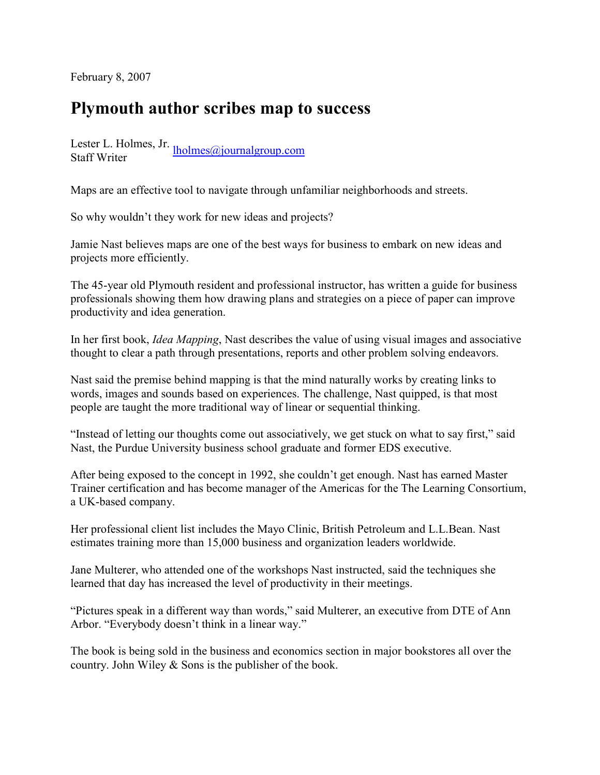February 8, 2007

## Plymouth author scribes map to success

Lester L. Holmes, Jr. *Iholmes@journalgroup.com*<br>Staff Writer

Maps are an effective tool to navigate through unfamiliar neighborhoods and streets.

So why wouldn't they work for new ideas and projects?

Jamie Nast believes maps are one of the best ways for business to embark on new ideas and projects more efficiently.

The 45-year old Plymouth resident and professional instructor, has written a guide for business professionals showing them how drawing plans and strategies on a piece of paper can improve productivity and idea generation.

In her first book, Idea Mapping, Nast describes the value of using visual images and associative thought to clear a path through presentations, reports and other problem solving endeavors.

Nast said the premise behind mapping is that the mind naturally works by creating links to words, images and sounds based on experiences. The challenge, Nast quipped, is that most people are taught the more traditional way of linear or sequential thinking.

"Instead of letting our thoughts come out associatively, we get stuck on what to say first," said Nast, the Purdue University business school graduate and former EDS executive.

After being exposed to the concept in 1992, she couldn't get enough. Nast has earned Master Trainer certification and has become manager of the Americas for the The Learning Consortium, a UK-based company.

Her professional client list includes the Mayo Clinic, British Petroleum and L.L.Bean. Nast estimates training more than 15,000 business and organization leaders worldwide.

Jane Multerer, who attended one of the workshops Nast instructed, said the techniques she learned that day has increased the level of productivity in their meetings.

"Pictures speak in a different way than words," said Multerer, an executive from DTE of Ann Arbor. "Everybody doesn't think in a linear way."

The book is being sold in the business and economics section in major bookstores all over the country. John Wiley & Sons is the publisher of the book.